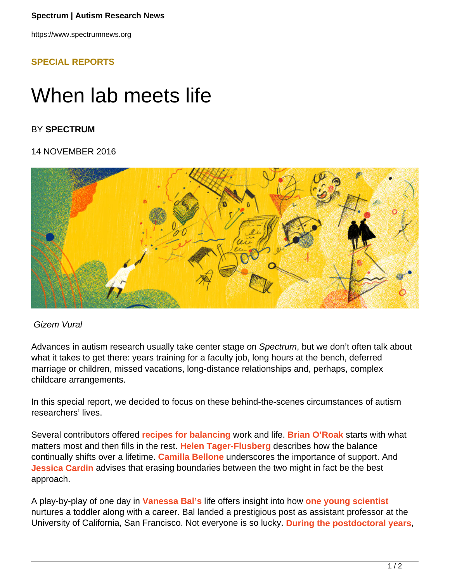https://www.spectrumnews.org

## **[SPECIAL REPORTS](HTTPS://WWW.SPECTRUMNEWS.ORG/FEATURES/SPECIAL-REPORTS/)**

# When lab meets life

## BY **SPECTRUM**

### 14 NOVEMBER 2016



#### Gizem Vural

Advances in autism research usually take center stage on Spectrum, but we don't often talk about what it takes to get there: years training for a faculty job, long hours at the bench, deferred marriage or children, missed vacations, long-distance relationships and, perhaps, complex childcare arrangements.

In this special report, we decided to focus on these behind-the-scenes circumstances of autism researchers' lives.

Several contributors offered **recipes for balancing** work and life. **Brian O'Roak** starts with what matters most and then fills in the rest. **Helen Tager-Flusberg** describes how the balance continually shifts over a lifetime. **Camilla Bellone** underscores the importance of support. And **Jessica Cardin** advises that erasing boundaries between the two might in fact be the best approach.

A play-by-play of one day in **Vanessa Bal's** life offers insight into how **one young scientist** nurtures a toddler along with a career. Bal landed a prestigious post as assistant professor at the University of California, San Francisco. Not everyone is so lucky. **During the postdoctoral years**,